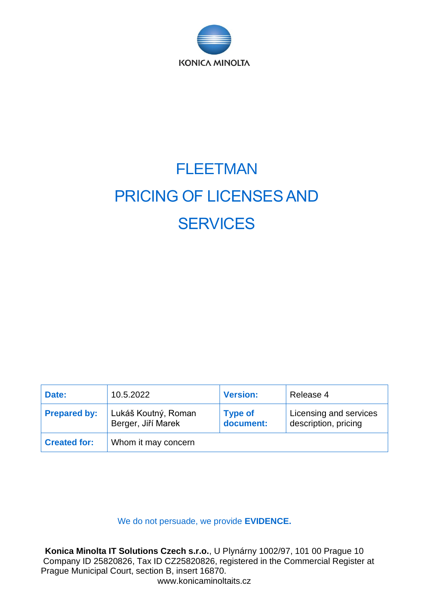

# FLEETMAN PRICING OF LICENSES AND **SERVICES**

| Date:               | 10.5.2022                                 | <b>Version:</b>             | Release 4                                      |
|---------------------|-------------------------------------------|-----------------------------|------------------------------------------------|
| <b>Prepared by:</b> | Lukáš Koutný, Roman<br>Berger, Jiří Marek | <b>Type of</b><br>document: | Licensing and services<br>description, pricing |
| <b>Created for:</b> | Whom it may concern                       |                             |                                                |

We do not persuade, we provide **EVIDENCE.**

**Konica Minolta IT Solutions Czech s.r.o.**, U Plynárny 1002/97, 101 00 Prague 10 Company ID 25820826, Tax ID CZ25820826, registered in the Commercial Register at Prague Municipal Court, section B, insert 16870.

www.konicaminoltaits.cz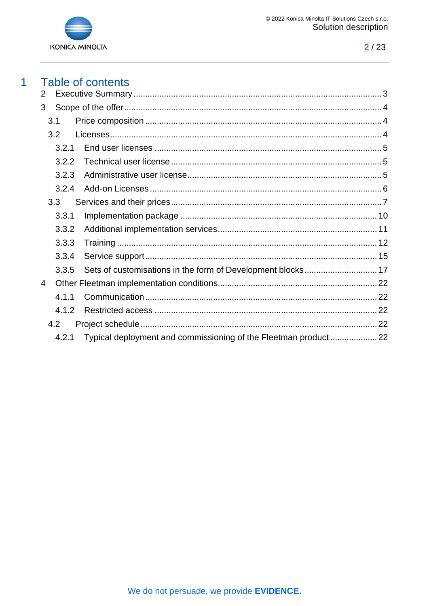

#### **Table of contents**  $\overline{1}$

| 2 |       |  |
|---|-------|--|
| 3 |       |  |
|   | 3.1   |  |
|   | 3.2   |  |
|   | 3.2.1 |  |
|   | 3.2.2 |  |
|   | 3.2.3 |  |
|   | 3.2.4 |  |
|   | 3.3   |  |
|   | 3.3.1 |  |
|   | 3.3.2 |  |
|   | 3.3.3 |  |
|   | 3.3.4 |  |
|   | 3.3.5 |  |
| 4 |       |  |
|   | 4.1.1 |  |
|   | 4.1.2 |  |
|   | 4.2   |  |
|   | 4.2.1 |  |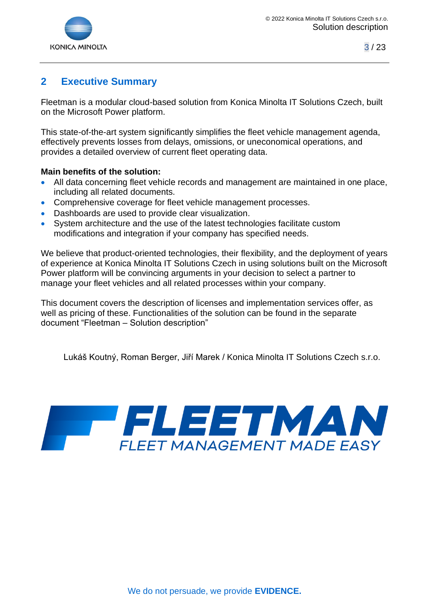

# <span id="page-2-0"></span>**2 Executive Summary**

Fleetman is a modular cloud-based solution from Konica Minolta IT Solutions Czech, built on the Microsoft Power platform.

This state-of-the-art system significantly simplifies the fleet vehicle management agenda, effectively prevents losses from delays, omissions, or uneconomical operations, and provides a detailed overview of current fleet operating data.

#### **Main benefits of the solution:**

- All data concerning fleet vehicle records and management are maintained in one place, including all related documents.
- Comprehensive coverage for fleet vehicle management processes.
- Dashboards are used to provide clear visualization.
- System architecture and the use of the latest technologies facilitate custom modifications and integration if your company has specified needs.

We believe that product-oriented technologies, their flexibility, and the deployment of years of experience at Konica Minolta IT Solutions Czech in using solutions built on the Microsoft Power platform will be convincing arguments in your decision to select a partner to manage your fleet vehicles and all related processes within your company.

This document covers the description of licenses and implementation services offer, as well as pricing of these. Functionalities of the solution can be found in the separate document "Fleetman – Solution description"

Lukáš Koutný, Roman Berger, Jiří Marek / Konica Minolta IT Solutions Czech s.r.o.

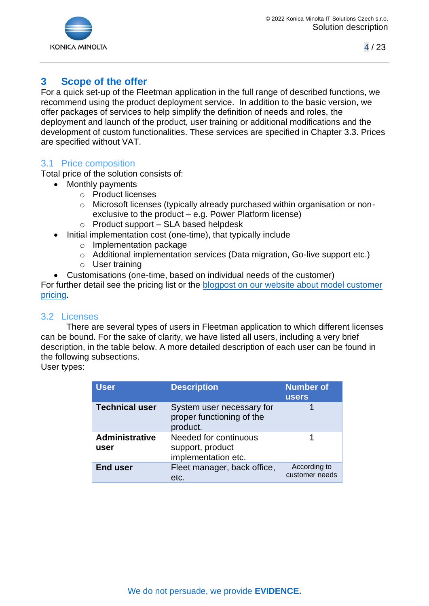



# <span id="page-3-0"></span>**3 Scope of the offer**

For a quick set-up of the Fleetman application in the full range of described functions, we recommend using the product deployment service. In addition to the basic version, we offer packages of services to help simplify the definition of needs and roles, the deployment and launch of the product, user training or additional modifications and the development of custom functionalities. These services are specified in Chapter [3.3.](#page-6-0) Prices are specified without VAT.

## <span id="page-3-1"></span>3.1 Price composition

Total price of the solution consists of:

- Monthly payments
	- o Product licenses
	- o Microsoft licenses (typically already purchased within organisation or nonexclusive to the product – e.g. Power Platform license)
	- o Product support SLA based helpdesk
- Initial implementation cost (one-time), that typically include
	- o Implementation package
	- o Additional implementation services (Data migration, Go-live support etc.)
	- o User training
- Customisations (one-time, based on individual needs of the customer)

For further detail see the pricing list or the **blogpost on our website about model customer** [pricing.](https://fleetman.konicaminoltaits.cz/2021/05/26/fleetman-pricing-example-mid-sized-company/)

## <span id="page-3-2"></span>3.2 Licenses

There are several types of users in Fleetman application to which different licenses can be bound. For the sake of clarity, we have listed all users, including a very brief description, in the table below. A more detailed description of each user can be found in the following subsections.

User types:

| <b>User</b>                   | <b>Description</b>                                                 | <b>Number of</b><br><b>users</b> |
|-------------------------------|--------------------------------------------------------------------|----------------------------------|
| <b>Technical user</b>         | System user necessary for<br>proper functioning of the<br>product. |                                  |
| <b>Administrative</b><br>user | Needed for continuous<br>support, product<br>implementation etc.   |                                  |
| <b>End user</b>               | Fleet manager, back office,<br>etc.                                | According to<br>customer needs   |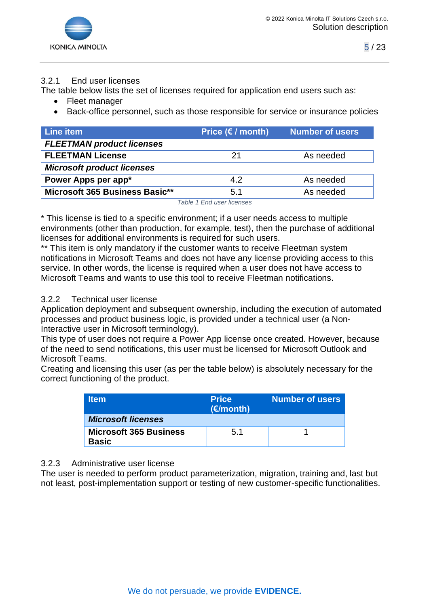

#### <span id="page-4-0"></span>3.2.1 End user licenses

The table below lists the set of licenses required for application end users such as:

- Fleet manager
- Back-office personnel, such as those responsible for service or insurance policies

| Line item                         | Price $(E / \text{month})$ | <b>Number of users</b> |
|-----------------------------------|----------------------------|------------------------|
| <b>FLEETMAN product licenses</b>  |                            |                        |
| <b>FLEETMAN License</b>           | 21                         | As needed              |
| <b>Microsoft product licenses</b> |                            |                        |
| Power Apps per app*               | 4.2                        | As needed              |
| Microsoft 365 Business Basic**    | 5.1                        | As needed              |

*Table 1 End user licenses*

\* This license is tied to a specific environment; if a user needs access to multiple environments (other than production, for example, test), then the purchase of additional licenses for additional environments is required for such users.

\*\* This item is only mandatory if the customer wants to receive Fleetman system notifications in Microsoft Teams and does not have any license providing access to this service. In other words, the license is required when a user does not have access to Microsoft Teams and wants to use this tool to receive Fleetman notifications.

#### <span id="page-4-1"></span>3.2.2 Technical user license

Application deployment and subsequent ownership, including the execution of automated processes and product business logic, is provided under a technical user (a Non-Interactive user in Microsoft terminology).

This type of user does not require a Power App license once created. However, because of the need to send notifications, this user must be licensed for Microsoft Outlook and Microsoft Teams.

Creating and licensing this user (as per the table below) is absolutely necessary for the correct functioning of the product.

| <b>Item</b>                                   | <b>Price</b><br>(E/month) | <b>Number of users</b> |
|-----------------------------------------------|---------------------------|------------------------|
| <b>Microsoft licenses</b>                     |                           |                        |
| <b>Microsoft 365 Business</b><br><b>Basic</b> | 5.1                       |                        |

#### <span id="page-4-2"></span>3.2.3 Administrative user license

The user is needed to perform product parameterization, migration, training and, last but not least, post-implementation support or testing of new customer-specific functionalities.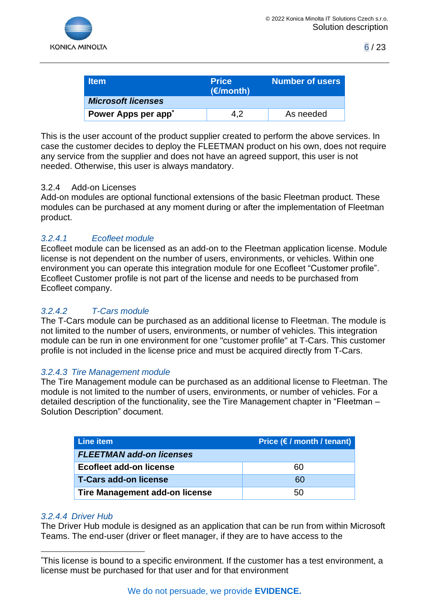

| <b>Item</b>                     | <b>Price</b><br>(E/month) | <b>Number of users</b> |
|---------------------------------|---------------------------|------------------------|
| <b>Microsoft licenses</b>       |                           |                        |
| Power Apps per app <sup>*</sup> | 4.2                       | As needed              |

This is the user account of the product supplier created to perform the above services. In case the customer decides to deploy the FLEETMAN product on his own, does not require any service from the supplier and does not have an agreed support, this user is not needed. Otherwise, this user is always mandatory.

#### <span id="page-5-0"></span>3.2.4 Add-on Licenses

Add-on modules are optional functional extensions of the basic Fleetman product. These modules can be purchased at any moment during or after the implementation of Fleetman product.

## *3.2.4.1 Ecofleet module*

Ecofleet module can be licensed as an add-on to the Fleetman application license. Module license is not dependent on the number of users, environments, or vehicles. Within one environment you can operate this integration module for one Ecofleet "Customer profile". Ecofleet Customer profile is not part of the license and needs to be purchased from Ecofleet company.

# *3.2.4.2 T-Cars module*

The T-Cars module can be purchased as an additional license to Fleetman. The module is not limited to the number of users, environments, or number of vehicles. This integration module can be run in one environment for one "customer profile" at T-Cars. This customer profile is not included in the license price and must be acquired directly from T-Cars.

#### *3.2.4.3 Tire Management module*

The Tire Management module can be purchased as an additional license to Fleetman. The module is not limited to the number of users, environments, or number of vehicles. For a detailed description of the functionality, see the Tire Management chapter in "Fleetman – Solution Description" document.

| Line item                             | Price $(\epsilon / \text{month} / \text{tenant})$ |
|---------------------------------------|---------------------------------------------------|
| <b>FLEETMAN add-on licenses</b>       |                                                   |
| Ecofleet add-on license               | 60                                                |
| <b>T-Cars add-on license</b>          | 60                                                |
| <b>Tire Management add-on license</b> | 50                                                |

#### *3.2.4.4 Driver Hub*

The Driver Hub module is designed as an application that can be run from within Microsoft Teams. The end-user (driver or fleet manager, if they are to have access to the

<sup>\*</sup>This license is bound to a specific environment. If the customer has a test environment, a license must be purchased for that user and for that environment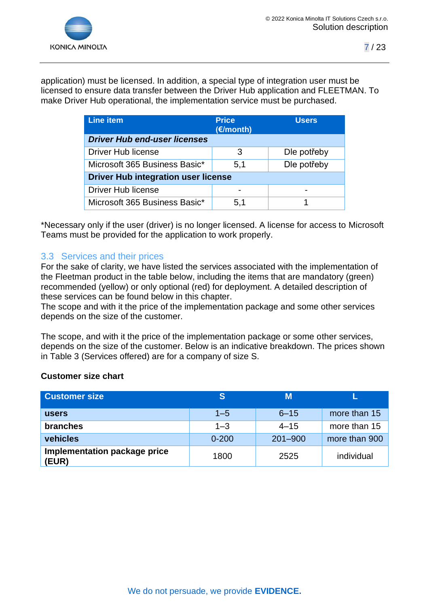

application) must be licensed. In addition, a special type of integration user must be licensed to ensure data transfer between the Driver Hub application and FLEETMAN. To make Driver Hub operational, the implementation service must be purchased.

| <b>Line item</b>                           | <b>Price</b><br>(€/month) | <b>Users</b> |  |
|--------------------------------------------|---------------------------|--------------|--|
| <b>Driver Hub end-user licenses</b>        |                           |              |  |
| <b>Driver Hub license</b>                  | З                         | Dle potřeby  |  |
| Microsoft 365 Business Basic*              | 5,1                       | Dle potřeby  |  |
| <b>Driver Hub integration user license</b> |                           |              |  |
| <b>Driver Hub license</b>                  |                           |              |  |
| Microsoft 365 Business Basic*              | 5,1                       |              |  |

\*Necessary only if the user (driver) is no longer licensed. A license for access to Microsoft Teams must be provided for the application to work properly.

## <span id="page-6-0"></span>3.3 Services and their prices

For the sake of clarity, we have listed the services associated with the implementation of the Fleetman product in the table below, including the items that are mandatory (green) recommended (yellow) or only optional (red) for deployment. A detailed description of these services can be found below in this chapter.

The scope and with it the price of the implementation package and some other services depends on the size of the customer.

The scope, and with it the price of the implementation package or some other services, depends on the size of the customer. Below is an indicative breakdown. The prices shown in Table 3 (Services offered) are for a company of size S.

#### **Customer size chart**

| <b>Customer size</b>                  |           | М           |               |
|---------------------------------------|-----------|-------------|---------------|
| <b>users</b>                          | $1 - 5$   | $6 - 15$    | more than 15  |
| branches                              | $1 - 3$   | $4 - 15$    | more than 15  |
| vehicles                              | $0 - 200$ | $201 - 900$ | more than 900 |
| Implementation package price<br>(EUR) | 1800      | 2525        | individual    |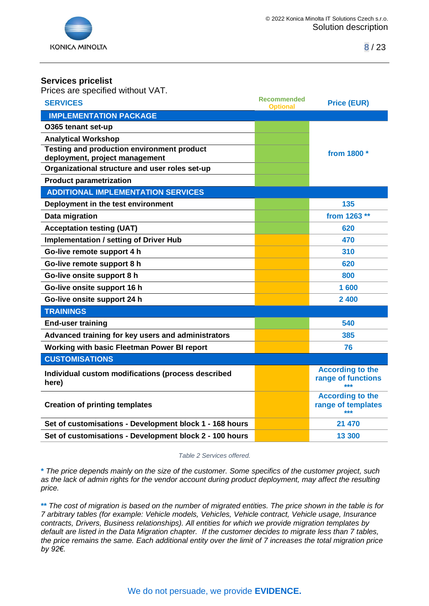

#### **Services pricelist**

Prices are specified without VAT.

| <b>SERVICES</b>                                         | <b>Recommended</b><br><b>Optional</b> | <b>Price (EUR)</b>        |
|---------------------------------------------------------|---------------------------------------|---------------------------|
| <b>IMPLEMENTATION PACKAGE</b>                           |                                       |                           |
| O365 tenant set-up                                      |                                       |                           |
| <b>Analytical Workshop</b>                              |                                       |                           |
| <b>Testing and production environment product</b>       |                                       | from 1800 *               |
| deployment, project management                          |                                       |                           |
| Organizational structure and user roles set-up          |                                       |                           |
| <b>Product parametrization</b>                          |                                       |                           |
| <b>ADDITIONAL IMPLEMENTATION SERVICES</b>               |                                       |                           |
| Deployment in the test environment                      |                                       | 135                       |
| Data migration                                          |                                       | from 1263 **              |
| <b>Acceptation testing (UAT)</b>                        |                                       | 620                       |
| <b>Implementation / setting of Driver Hub</b>           |                                       | 470                       |
| Go-live remote support 4 h                              |                                       | 310                       |
| Go-live remote support 8 h                              |                                       | 620                       |
| Go-live onsite support 8 h                              |                                       | 800                       |
| Go-live onsite support 16 h                             |                                       | 1 600                     |
| Go-live onsite support 24 h                             |                                       | 2 400                     |
| <b>TRAININGS</b>                                        |                                       |                           |
| <b>End-user training</b>                                |                                       | 540                       |
| Advanced training for key users and administrators      |                                       | 385                       |
| Working with basic Fleetman Power BI report             |                                       | 76                        |
| <b>CUSTOMISATIONS</b>                                   |                                       |                           |
| Individual custom modifications (process described      |                                       | <b>According to the</b>   |
| here)                                                   |                                       | range of functions<br>*** |
|                                                         |                                       | <b>According to the</b>   |
| <b>Creation of printing templates</b>                   |                                       | range of templates        |
| Set of customisations - Development block 1 - 168 hours |                                       | 21 470                    |
| Set of customisations - Development block 2 - 100 hours |                                       | 13 300                    |

*Table 2 Services offered.*

**\*** *The price depends mainly on the size of the customer. Some specifics of the customer project, such*  as the lack of admin rights for the vendor account during product deployment, may affect the resulting *price.*

**\*\*** *The cost of migration is based on the number of migrated entities. The price shown in the table is for 7 arbitrary tables (for example: Vehicle models, Vehicles, Vehicle contract, Vehicle usage, Insurance contracts, Drivers, Business relationships). All entities for which we provide migration templates by default are listed in the Data Migration chapter. If the customer decides to migrate less than 7 tables, the price remains the same. Each additional entity over the limit of 7 increases the total migration price by 92€.*

#### We do not persuade, we provide **EVIDENCE.**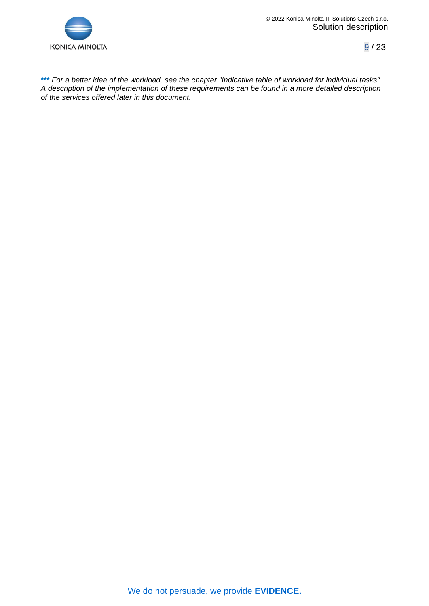

**\*\*\*** *For a better idea of the workload, see the chapter "Indicative table of workload for individual tasks". A description of the implementation of these requirements can be found in a more detailed description of the services offered later in this document.*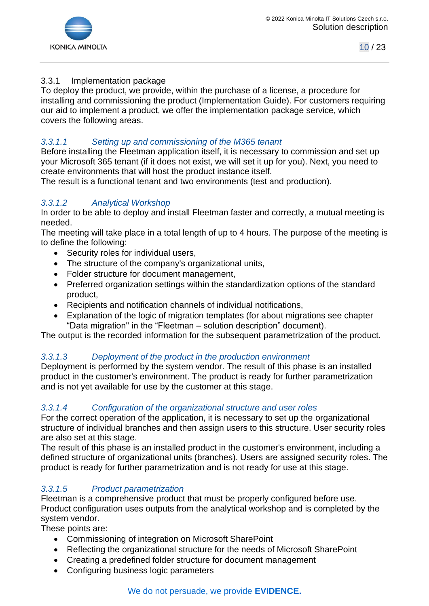

## <span id="page-9-0"></span>3.3.1 Implementation package

To deploy the product, we provide, within the purchase of a license, a procedure for installing and commissioning the product (Implementation Guide). For customers requiring our aid to implement a product, we offer the implementation package service, which covers the following areas.

## *3.3.1.1 Setting up and commissioning of the M365 tenant*

Before installing the Fleetman application itself, it is necessary to commission and set up your Microsoft 365 tenant (if it does not exist, we will set it up for you). Next, you need to create environments that will host the product instance itself.

The result is a functional tenant and two environments (test and production).

## *3.3.1.2 Analytical Workshop*

In order to be able to deploy and install Fleetman faster and correctly, a mutual meeting is needed.

The meeting will take place in a total length of up to 4 hours. The purpose of the meeting is to define the following:

- Security roles for individual users,
- The structure of the company's organizational units,
- Folder structure for document management,
- Preferred organization settings within the standardization options of the standard product,
- Recipients and notification channels of individual notifications,
- Explanation of the logic of migration templates (for about migrations see chapter "Data migration" in the "Fleetman – solution description" document).

The output is the recorded information for the subsequent parametrization of the product.

## *3.3.1.3 Deployment of the product in the production environment*

Deployment is performed by the system vendor. The result of this phase is an installed product in the customer's environment. The product is ready for further parametrization and is not yet available for use by the customer at this stage.

#### *3.3.1.4 Configuration of the organizational structure and user roles*

For the correct operation of the application, it is necessary to set up the organizational structure of individual branches and then assign users to this structure. User security roles are also set at this stage.

The result of this phase is an installed product in the customer's environment, including a defined structure of organizational units (branches). Users are assigned security roles. The product is ready for further parametrization and is not ready for use at this stage.

## *3.3.1.5 Product parametrization*

Fleetman is a comprehensive product that must be properly configured before use. Product configuration uses outputs from the analytical workshop and is completed by the system vendor.

These points are:

- Commissioning of integration on Microsoft SharePoint
- Reflecting the organizational structure for the needs of Microsoft SharePoint
- Creating a predefined folder structure for document management
- Configuring business logic parameters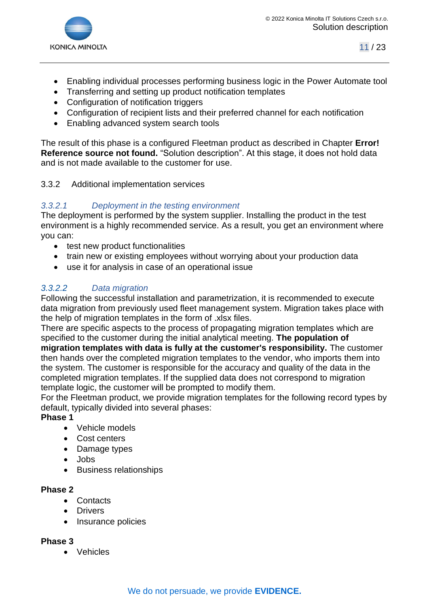

- Enabling individual processes performing business logic in the Power Automate tool
- Transferring and setting up product notification templates
- Configuration of notification triggers
- Configuration of recipient lists and their preferred channel for each notification
- Enabling advanced system search tools

The result of this phase is a configured Fleetman product as described in Chapter **Error! Reference source not found.** "Solution description". At this stage, it does not hold data and is not made available to the customer for use.

#### <span id="page-10-0"></span>3.3.2 Additional implementation services

## *3.3.2.1 Deployment in the testing environment*

The deployment is performed by the system supplier. Installing the product in the test environment is a highly recommended service. As a result, you get an environment where you can:

- test new product functionalities
- train new or existing employees without worrying about your production data
- use it for analysis in case of an operational issue

## *3.3.2.2 Data migration*

Following the successful installation and parametrization, it is recommended to execute data migration from previously used fleet management system. Migration takes place with the help of migration templates in the form of .xlsx files.

There are specific aspects to the process of propagating migration templates which are specified to the customer during the initial analytical meeting. **The population of** 

**migration templates with data is fully at the customer's responsibility.** The customer then hands over the completed migration templates to the vendor, who imports them into the system. The customer is responsible for the accuracy and quality of the data in the completed migration templates. If the supplied data does not correspond to migration template logic, the customer will be prompted to modify them.

For the Fleetman product, we provide migration templates for the following record types by default, typically divided into several phases:

#### **Phase 1**

- Vehicle models
- Cost centers
- Damage types
- Jobs
- Business relationships

#### **Phase 2**

- Contacts
- Drivers
- Insurance policies

#### **Phase 3**

• Vehicles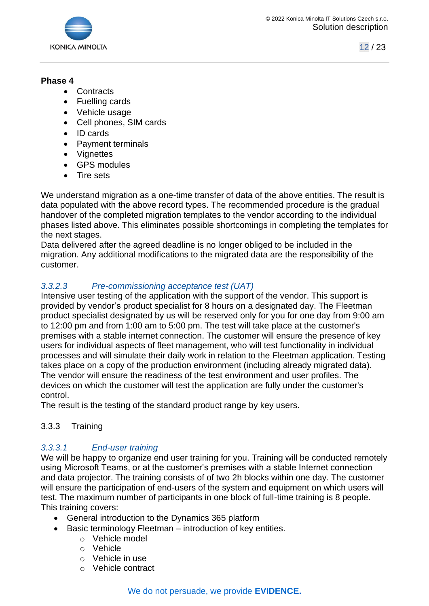

#### **Phase 4**

- Contracts
- Fuelling cards
- Vehicle usage
- Cell phones, SIM cards
- ID cards
- Payment terminals
- Vignettes
- GPS modules
- Tire sets

We understand migration as a one-time transfer of data of the above entities. The result is data populated with the above record types. The recommended procedure is the gradual handover of the completed migration templates to the vendor according to the individual phases listed above. This eliminates possible shortcomings in completing the templates for the next stages.

Data delivered after the agreed deadline is no longer obliged to be included in the migration. Any additional modifications to the migrated data are the responsibility of the customer.

# *3.3.2.3 Pre-commissioning acceptance test (UAT)*

Intensive user testing of the application with the support of the vendor. This support is provided by vendor's product specialist for 8 hours on a designated day. The Fleetman product specialist designated by us will be reserved only for you for one day from 9:00 am to 12:00 pm and from 1:00 am to 5:00 pm. The test will take place at the customer's premises with a stable internet connection. The customer will ensure the presence of key users for individual aspects of fleet management, who will test functionality in individual processes and will simulate their daily work in relation to the Fleetman application. Testing takes place on a copy of the production environment (including already migrated data). The vendor will ensure the readiness of the test environment and user profiles. The devices on which the customer will test the application are fully under the customer's control.

The result is the testing of the standard product range by key users.

## <span id="page-11-0"></span>3.3.3 Training

# *3.3.3.1 End-user training*

We will be happy to organize end user training for you. Training will be conducted remotely using Microsoft Teams, or at the customer's premises with a stable Internet connection and data projector. The training consists of of two 2h blocks within one day. The customer will ensure the participation of end-users of the system and equipment on which users will test. The maximum number of participants in one block of full-time training is 8 people. This training covers:

- General introduction to the Dynamics 365 platform
- Basic terminology Fleetman introduction of key entities.
	- o Vehicle model
	- o Vehicle
	- o Vehicle in use
	- o Vehicle contract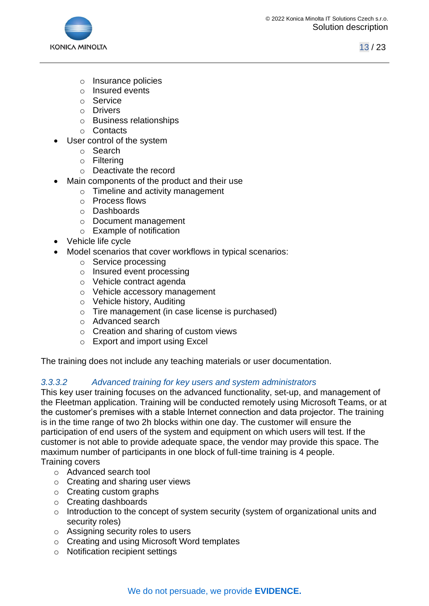

- o Insurance policies
- o Insured events
- o Service
- o Drivers
- o Business relationships
- o Contacts
- User control of the system
	- o Search
	- o Filtering
	- o Deactivate the record
- Main components of the product and their use
	- o Timeline and activity management
	- o Process flows
	- o Dashboards
	- o Document management
	- o Example of notification
- Vehicle life cycle
- Model scenarios that cover workflows in typical scenarios:
	- o Service processing
	- o Insured event processing
	- o Vehicle contract agenda
	- o Vehicle accessory management
	- o Vehicle history, Auditing
	- o Tire management (in case license is purchased)
	- o Advanced search
	- o Creation and sharing of custom views
	- o Export and import using Excel

The training does not include any teaching materials or user documentation.

## *3.3.3.2 Advanced training for key users and system administrators*

This key user training focuses on the advanced functionality, set-up, and management of the Fleetman application. Training will be conducted remotely using Microsoft Teams, or at the customer's premises with a stable Internet connection and data projector. The training is in the time range of two 2h blocks within one day. The customer will ensure the participation of end users of the system and equipment on which users will test. If the customer is not able to provide adequate space, the vendor may provide this space. The maximum number of participants in one block of full-time training is 4 people.

Training covers

- o Advanced search tool
- o Creating and sharing user views
- o Creating custom graphs
- o Creating dashboards
- o Introduction to the concept of system security (system of organizational units and security roles)
- o Assigning security roles to users
- o Creating and using Microsoft Word templates
- o Notification recipient settings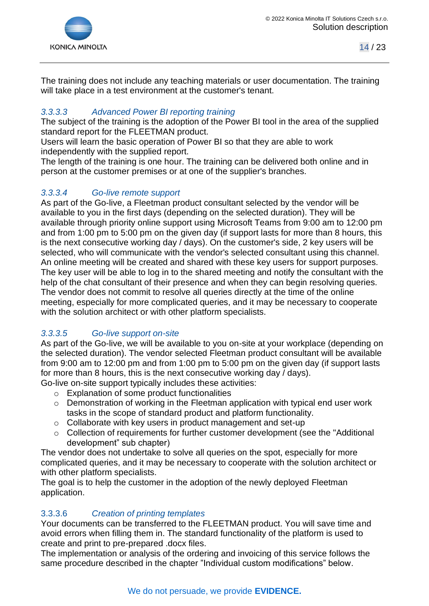

The training does not include any teaching materials or user documentation. The training will take place in a test environment at the customer's tenant.

# *3.3.3.3 Advanced Power BI reporting training*

The subject of the training is the adoption of the Power BI tool in the area of the supplied standard report for the FLEETMAN product.

Users will learn the basic operation of Power BI so that they are able to work independently with the supplied report.

The length of the training is one hour. The training can be delivered both online and in person at the customer premises or at one of the supplier's branches.

## *3.3.3.4 Go-live remote support*

As part of the Go-live, a Fleetman product consultant selected by the vendor will be available to you in the first days (depending on the selected duration). They will be available through priority online support using Microsoft Teams from 9:00 am to 12:00 pm and from 1:00 pm to 5:00 pm on the given day (if support lasts for more than 8 hours, this is the next consecutive working day / days). On the customer's side, 2 key users will be selected, who will communicate with the vendor's selected consultant using this channel. An online meeting will be created and shared with these key users for support purposes. The key user will be able to log in to the shared meeting and notify the consultant with the help of the chat consultant of their presence and when they can begin resolving queries. The vendor does not commit to resolve all queries directly at the time of the online meeting, especially for more complicated queries, and it may be necessary to cooperate with the solution architect or with other platform specialists.

# *3.3.3.5 Go-live support on-site*

As part of the Go-live, we will be available to you on-site at your workplace (depending on the selected duration). The vendor selected Fleetman product consultant will be available from 9:00 am to 12:00 pm and from 1:00 pm to 5:00 pm on the given day (if support lasts for more than 8 hours, this is the next consecutive working day / days).

Go-live on-site support typically includes these activities:

- o Explanation of some product functionalities
- o Demonstration of working in the Fleetman application with typical end user work tasks in the scope of standard product and platform functionality.
- o Collaborate with key users in product management and set-up
- o Collection of requirements for further customer development (see the "Additional development" sub chapter)

The vendor does not undertake to solve all queries on the spot, especially for more complicated queries, and it may be necessary to cooperate with the solution architect or with other platform specialists.

The goal is to help the customer in the adoption of the newly deployed Fleetman application.

## 3.3.3.6 *Creation of printing templates*

Your documents can be transferred to the FLEETMAN product. You will save time and avoid errors when filling them in. The standard functionality of the platform is used to create and print to pre-prepared .docx files.

The implementation or analysis of the ordering and invoicing of this service follows the same procedure described in the chapter "Individual custom modifications" below.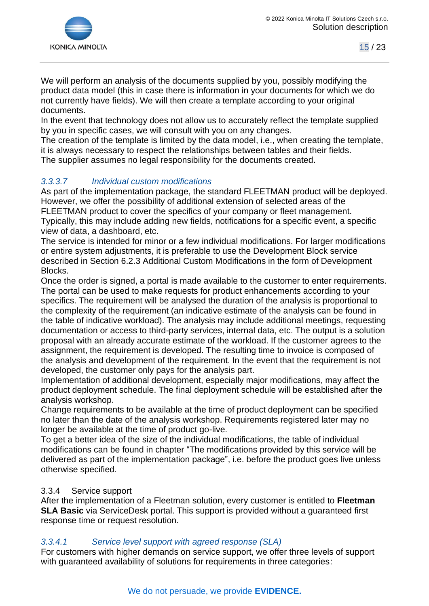

We will perform an analysis of the documents supplied by you, possibly modifying the product data model (this in case there is information in your documents for which we do not currently have fields). We will then create a template according to your original documents.

In the event that technology does not allow us to accurately reflect the template supplied by you in specific cases, we will consult with you on any changes.

The creation of the template is limited by the data model, i.e., when creating the template, it is always necessary to respect the relationships between tables and their fields. The supplier assumes no legal responsibility for the documents created.

## *3.3.3.7 Individual custom modifications*

As part of the implementation package, the standard FLEETMAN product will be deployed. However, we offer the possibility of additional extension of selected areas of the FLEETMAN product to cover the specifics of your company or fleet management. Typically, this may include adding new fields, notifications for a specific event, a specific view of data, a dashboard, etc.

The service is intended for minor or a few individual modifications. For larger modifications or entire system adjustments, it is preferable to use the Development Block service described in Section 6.2.3 Additional Custom Modifications in the form of Development Blocks.

Once the order is signed, a portal is made available to the customer to enter requirements. The portal can be used to make requests for product enhancements according to your specifics. The requirement will be analysed the duration of the analysis is proportional to the complexity of the requirement (an indicative estimate of the analysis can be found in the table of indicative workload). The analysis may include additional meetings, requesting documentation or access to third-party services, internal data, etc. The output is a solution proposal with an already accurate estimate of the workload. If the customer agrees to the assignment, the requirement is developed. The resulting time to invoice is composed of the analysis and development of the requirement. In the event that the requirement is not developed, the customer only pays for the analysis part.

Implementation of additional development, especially major modifications, may affect the product deployment schedule. The final deployment schedule will be established after the analysis workshop.

Change requirements to be available at the time of product deployment can be specified no later than the date of the analysis workshop. Requirements registered later may no longer be available at the time of product go-live.

To get a better idea of the size of the individual modifications, the table of individual modifications can be found in chapter "The modifications provided by this service will be delivered as part of the implementation package", i.e. before the product goes live unless otherwise specified.

#### <span id="page-14-0"></span>3.3.4 Service support

After the implementation of a Fleetman solution, every customer is entitled to **Fleetman SLA Basic** via ServiceDesk portal. This support is provided without a guaranteed first response time or request resolution.

#### *3.3.4.1 Service level support with agreed response (SLA)*

For customers with higher demands on service support, we offer three levels of support with guaranteed availability of solutions for requirements in three categories: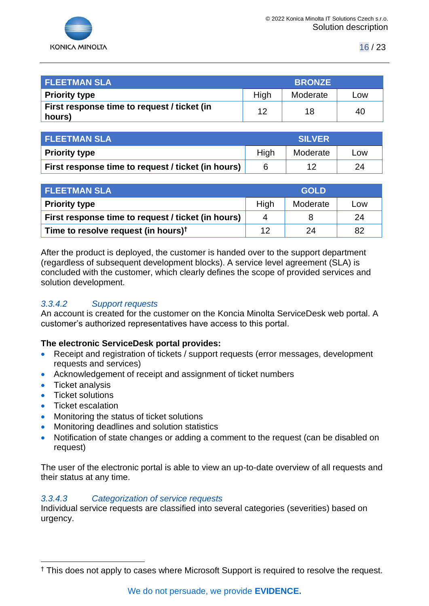

| <b>FLEETMAN SLA</b>                                   | <b>BRONZE</b> |          |     |
|-------------------------------------------------------|---------------|----------|-----|
| <b>Priority type</b>                                  | High          | Moderate | Low |
| First response time to request / ticket (in<br>hours) | 12            | 18       | 40  |

| <b>FLEETMAN SLA</b>                                | <b>SILVER</b> |          |     |
|----------------------------------------------------|---------------|----------|-----|
| <b>Priority type</b>                               | High          | Moderate | Low |
| First response time to request / ticket (in hours) |               |          | 24  |

| <b>FLEETMAN SLA</b>                                | <b>GOLD</b> |          |     |
|----------------------------------------------------|-------------|----------|-----|
| <b>Priority type</b>                               | High        | Moderate | Low |
| First response time to request / ticket (in hours) | 4           |          | 24  |
| Time to resolve request (in hours) <sup>†</sup>    | 12          | 24       | 82  |

After the product is deployed, the customer is handed over to the support department (regardless of subsequent development blocks). A service level agreement (SLA) is concluded with the customer, which clearly defines the scope of provided services and solution development.

#### *3.3.4.2 Support requests*

An account is created for the customer on the Koncia Minolta ServiceDesk web portal. A customer's authorized representatives have access to this portal.

#### **The electronic ServiceDesk portal provides:**

- Receipt and registration of tickets / support requests (error messages, development requests and services)
- Acknowledgement of receipt and assignment of ticket numbers
- Ticket analysis
- Ticket solutions
- Ticket escalation
- Monitoring the status of ticket solutions
- Monitoring deadlines and solution statistics
- Notification of state changes or adding a comment to the request (can be disabled on request)

The user of the electronic portal is able to view an up-to-date overview of all requests and their status at any time.

#### *3.3.4.3 Categorization of service requests*

Individual service requests are classified into several categories (severities) based on urgency.

<sup>&</sup>lt;sup>†</sup> This does not apply to cases where Microsoft Support is required to resolve the request.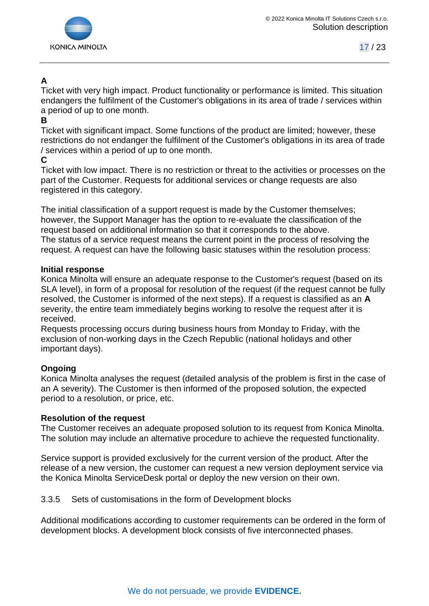

# **A**

Ticket with very high impact. Product functionality or performance is limited. This situation endangers the fulfilment of the Customer's obligations in its area of trade / services within a period of up to one month.

## **B**

Ticket with significant impact. Some functions of the product are limited; however, these restrictions do not endanger the fulfilment of the Customer's obligations in its area of trade / services within a period of up to one month.

## **C**

Ticket with low impact. There is no restriction or threat to the activities or processes on the part of the Customer. Requests for additional services or change requests are also registered in this category.

The initial classification of a support request is made by the Customer themselves; however, the Support Manager has the option to re-evaluate the classification of the request based on additional information so that it corresponds to the above. The status of a service request means the current point in the process of resolving the request. A request can have the following basic statuses within the resolution process:

#### **Initial response**

Konica Minolta will ensure an adequate response to the Customer's request (based on its SLA level), in form of a proposal for resolution of the request (if the request cannot be fully resolved, the Customer is informed of the next steps). If a request is classified as an **A**  severity, the entire team immediately begins working to resolve the request after it is received.

Requests processing occurs during business hours from Monday to Friday, with the exclusion of non-working days in the Czech Republic (national holidays and other important days).

## **Ongoing**

Konica Minolta analyses the request (detailed analysis of the problem is first in the case of an A severity). The Customer is then informed of the proposed solution, the expected period to a resolution, or price, etc.

## **Resolution of the request**

The Customer receives an adequate proposed solution to its request from Konica Minolta. The solution may include an alternative procedure to achieve the requested functionality.

Service support is provided exclusively for the current version of the product. After the release of a new version, the customer can request a new version deployment service via the Konica Minolta ServiceDesk portal or deploy the new version on their own.

## <span id="page-16-0"></span>3.3.5 Sets of customisations in the form of Development blocks

Additional modifications according to customer requirements can be ordered in the form of development blocks. A development block consists of five interconnected phases.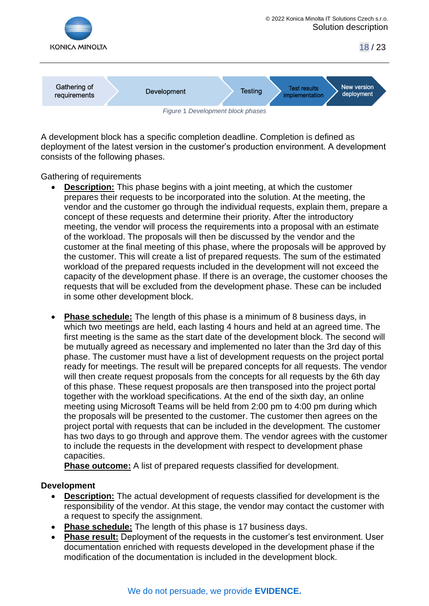

A development block has a specific completion deadline. Completion is defined as deployment of the latest version in the customer's production environment. A development consists of the following phases.

Gathering of requirements

- **Description:** This phase begins with a joint meeting, at which the customer prepares their requests to be incorporated into the solution. At the meeting, the vendor and the customer go through the individual requests, explain them, prepare a concept of these requests and determine their priority. After the introductory meeting, the vendor will process the requirements into a proposal with an estimate of the workload. The proposals will then be discussed by the vendor and the customer at the final meeting of this phase, where the proposals will be approved by the customer. This will create a list of prepared requests. The sum of the estimated workload of the prepared requests included in the development will not exceed the capacity of the development phase. If there is an overage, the customer chooses the requests that will be excluded from the development phase. These can be included in some other development block.
- **Phase schedule:** The length of this phase is a minimum of 8 business days, in which two meetings are held, each lasting 4 hours and held at an agreed time. The first meeting is the same as the start date of the development block. The second will be mutually agreed as necessary and implemented no later than the 3rd day of this phase. The customer must have a list of development requests on the project portal ready for meetings. The result will be prepared concepts for all requests. The vendor will then create request proposals from the concepts for all requests by the 6th day of this phase. These request proposals are then transposed into the project portal together with the workload specifications. At the end of the sixth day, an online meeting using Microsoft Teams will be held from 2:00 pm to 4:00 pm during which the proposals will be presented to the customer. The customer then agrees on the project portal with requests that can be included in the development. The customer has two days to go through and approve them. The vendor agrees with the customer to include the requests in the development with respect to development phase capacities.

**Phase outcome:** A list of prepared requests classified for development.

#### **Development**

- **Description:** The actual development of requests classified for development is the responsibility of the vendor. At this stage, the vendor may contact the customer with a request to specify the assignment.
- **Phase schedule:** The length of this phase is 17 business days.
- **Phase result:** Deployment of the requests in the customer's test environment. User documentation enriched with requests developed in the development phase if the modification of the documentation is included in the development block.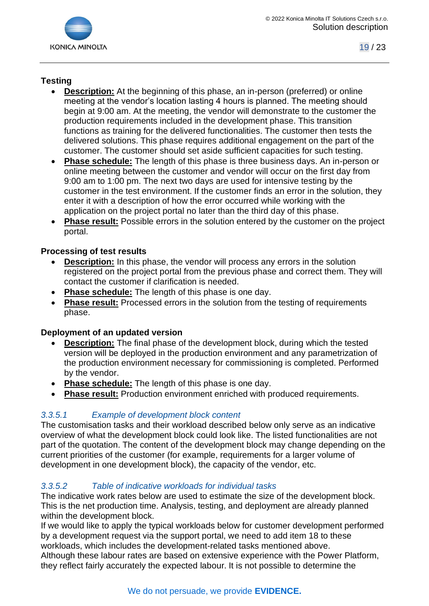

# **Testing**

- **Description:** At the beginning of this phase, an in-person (preferred) or online meeting at the vendor's location lasting 4 hours is planned. The meeting should begin at 9:00 am. At the meeting, the vendor will demonstrate to the customer the production requirements included in the development phase. This transition functions as training for the delivered functionalities. The customer then tests the delivered solutions. This phase requires additional engagement on the part of the customer. The customer should set aside sufficient capacities for such testing.
- **Phase schedule:** The length of this phase is three business days. An in-person or online meeting between the customer and vendor will occur on the first day from 9:00 am to 1:00 pm. The next two days are used for intensive testing by the customer in the test environment. If the customer finds an error in the solution, they enter it with a description of how the error occurred while working with the application on the project portal no later than the third day of this phase.
- **Phase result:** Possible errors in the solution entered by the customer on the project portal.

## **Processing of test results**

- **Description:** In this phase, the vendor will process any errors in the solution registered on the project portal from the previous phase and correct them. They will contact the customer if clarification is needed.
- **Phase schedule:** The length of this phase is one day.
- Phase result: Processed errors in the solution from the testing of requirements phase.

## **Deployment of an updated version**

- **Description:** The final phase of the development block, during which the tested version will be deployed in the production environment and any parametrization of the production environment necessary for commissioning is completed. Performed by the vendor.
- **Phase schedule:** The length of this phase is one day.
- **Phase result:** Production environment enriched with produced requirements.

## *3.3.5.1 Example of development block content*

The customisation tasks and their workload described below only serve as an indicative overview of what the development block could look like. The listed functionalities are not part of the quotation. The content of the development block may change depending on the current priorities of the customer (for example, requirements for a larger volume of development in one development block), the capacity of the vendor, etc.

## *3.3.5.2 Table of indicative workloads for individual tasks*

The indicative work rates below are used to estimate the size of the development block. This is the net production time. Analysis, testing, and deployment are already planned within the development block.

If we would like to apply the typical workloads below for customer development performed by a development request via the support portal, we need to add item 18 to these workloads, which includes the development-related tasks mentioned above.

Although these labour rates are based on extensive experience with the Power Platform, they reflect fairly accurately the expected labour. It is not possible to determine the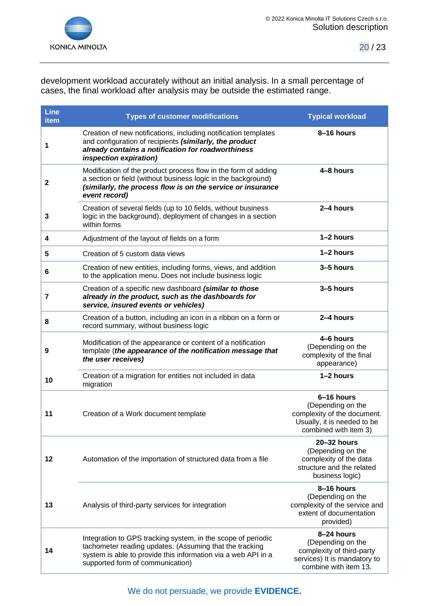

development workload accurately without an initial analysis. In a small percentage of cases, the final workload after analysis may be outside the estimated range.

| <b>Line</b><br>item | <b>Types of customer modifications</b>                                                                                                                                                                                       | <b>Typical workload</b>                                                                                                |
|---------------------|------------------------------------------------------------------------------------------------------------------------------------------------------------------------------------------------------------------------------|------------------------------------------------------------------------------------------------------------------------|
| 1                   | Creation of new notifications, including notification templates<br>and configuration of recipients (similarly, the product<br>already contains a notification for roadworthiness<br><i>inspection expiration)</i>            | 8-16 hours                                                                                                             |
| $\mathbf{2}$        | Modification of the product process flow in the form of adding<br>a section or field (without business logic in the background)<br>(similarly, the process flow is on the service or insurance<br>event record)              | 4-8 hours                                                                                                              |
| 3                   | Creation of several fields (up to 10 fields, without business<br>logic in the background), deployment of changes in a section<br>within forms                                                                                | 2-4 hours                                                                                                              |
| 4                   | Adjustment of the layout of fields on a form                                                                                                                                                                                 | 1-2 hours                                                                                                              |
| 5                   | Creation of 5 custom data views                                                                                                                                                                                              | $1-2$ hours                                                                                                            |
| 6                   | Creation of new entities, including forms, views, and addition<br>to the application menu. Does not include business logic                                                                                                   | 3-5 hours                                                                                                              |
| $\overline{7}$      | Creation of a specific new dashboard (similar to those<br>already in the product, such as the dashboards for<br>service, insured events or vehicles)                                                                         | 3-5 hours                                                                                                              |
| 8                   | Creation of a button, including an icon in a ribbon on a form or<br>record summary, without business logic                                                                                                                   | 2-4 hours                                                                                                              |
| 9                   | Modification of the appearance or content of a notification<br>template (the appearance of the notification message that<br>the user receives)                                                                               | 4-6 hours<br>(Depending on the<br>complexity of the final<br>appearance)                                               |
| 10                  | Creation of a migration for entities not included in data<br>migration                                                                                                                                                       | $1-2$ hours                                                                                                            |
| 11                  | Creation of a Work document template                                                                                                                                                                                         | 6-16 hours<br>(Depending on the<br>complexity of the document.<br>Usually, it is needed to be<br>combined with item 3) |
| 12                  | Automation of the importation of structured data from a file                                                                                                                                                                 | 20-32 hours<br>(Depending on the<br>complexity of the data<br>structure and the related<br>business logic)             |
| 13                  | Analysis of third-party services for integration                                                                                                                                                                             | 8-16 hours<br>(Depending on the<br>complexity of the service and<br>extent of documentation<br>provided)               |
| 14                  | Integration to GPS tracking system, in the scope of periodic<br>tachometer reading updates. (Assuming that the tracking<br>system is able to provide this information via a web API in a<br>supported form of communication) | 8-24 hours<br>(Depending on the<br>complexity of third-party<br>services) It is mandatory to<br>combine with item 13.  |

We do not persuade, we provide **EVIDENCE.**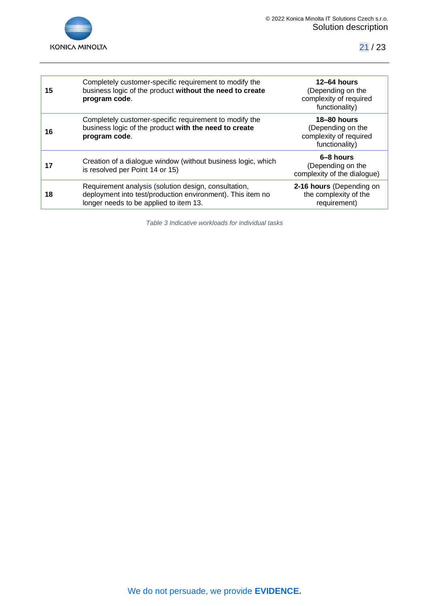

| 15 | Completely customer-specific requirement to modify the<br>business logic of the product without the need to create<br>program code.                          | $12 - 64$ hours<br>(Depending on the<br>complexity of required<br>functionality)    |
|----|--------------------------------------------------------------------------------------------------------------------------------------------------------------|-------------------------------------------------------------------------------------|
| 16 | Completely customer-specific requirement to modify the<br>business logic of the product with the need to create<br>program code.                             | <b>18-80 hours</b><br>(Depending on the<br>complexity of required<br>functionality) |
| 17 | Creation of a dialogue window (without business logic, which<br>is resolved per Point 14 or 15)                                                              | 6-8 hours<br>(Depending on the<br>complexity of the dialogue)                       |
| 18 | Requirement analysis (solution design, consultation,<br>deployment into test/production environment). This item no<br>longer needs to be applied to item 13. | 2-16 hours (Depending on<br>the complexity of the<br>requirement)                   |
|    |                                                                                                                                                              |                                                                                     |

*Table 3 Indicative workloads for individual tasks*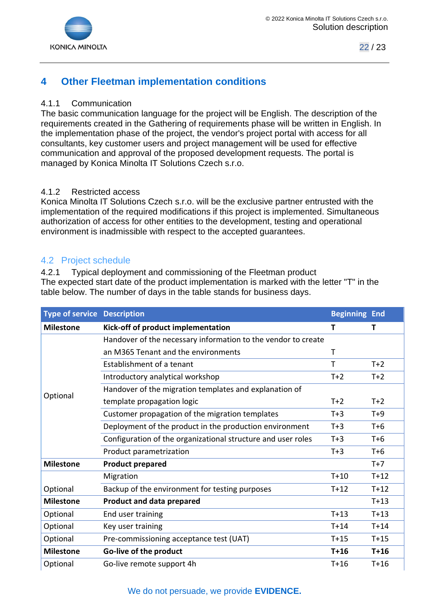

# <span id="page-21-0"></span>**4 Other Fleetman implementation conditions**

## <span id="page-21-1"></span>4.1.1 Communication

The basic communication language for the project will be English. The description of the requirements created in the Gathering of requirements phase will be written in English. In the implementation phase of the project, the vendor's project portal with access for all consultants, key customer users and project management will be used for effective communication and approval of the proposed development requests. The portal is managed by Konica Minolta IT Solutions Czech s.r.o.

#### <span id="page-21-2"></span>4.1.2 Restricted access

Konica Minolta IT Solutions Czech s.r.o. will be the exclusive partner entrusted with the implementation of the required modifications if this project is implemented. Simultaneous authorization of access for other entities to the development, testing and operational environment is inadmissible with respect to the accepted guarantees.

## <span id="page-21-3"></span>4.2 Project schedule

<span id="page-21-4"></span>4.2.1 Typical deployment and commissioning of the Fleetman product The expected start date of the product implementation is marked with the letter "T" in the table below. The number of days in the table stands for business days.

| <b>Type of service Description</b> |                                                               | <b>Beginning End</b> |        |
|------------------------------------|---------------------------------------------------------------|----------------------|--------|
| <b>Milestone</b>                   | Kick-off of product implementation                            | Т                    | т      |
| Optional                           | Handover of the necessary information to the vendor to create |                      |        |
|                                    | an M365 Tenant and the environments                           | Т                    |        |
|                                    | Establishment of a tenant                                     | т                    | $T+2$  |
|                                    | Introductory analytical workshop                              | $T+2$                | $T+2$  |
|                                    | Handover of the migration templates and explanation of        |                      |        |
|                                    | template propagation logic                                    | $T+2$                | $T+2$  |
|                                    | Customer propagation of the migration templates               | $T+3$                | $T+9$  |
|                                    | Deployment of the product in the production environment       | $T+3$                | $T+6$  |
|                                    | Configuration of the organizational structure and user roles  | $T+3$                | $T+6$  |
|                                    | Product parametrization                                       | $T+3$                | $T+6$  |
| <b>Milestone</b>                   | <b>Product prepared</b>                                       |                      | $T+7$  |
|                                    | Migration                                                     | $T+10$               | $T+12$ |
| Optional                           | Backup of the environment for testing purposes                | $T+12$               | $T+12$ |
| <b>Milestone</b>                   | <b>Product and data prepared</b>                              |                      | $T+13$ |
| Optional                           | End user training                                             | $T+13$               | $T+13$ |
| Optional                           | Key user training                                             | $T+14$               | $T+14$ |
| Optional                           | Pre-commissioning acceptance test (UAT)                       | $T+15$               | $T+15$ |
| <b>Milestone</b>                   | Go-live of the product                                        | $T+16$               | $T+16$ |
| Optional                           | Go-live remote support 4h                                     | $T+16$               | $T+16$ |

# We do not persuade, we provide **EVIDENCE.**